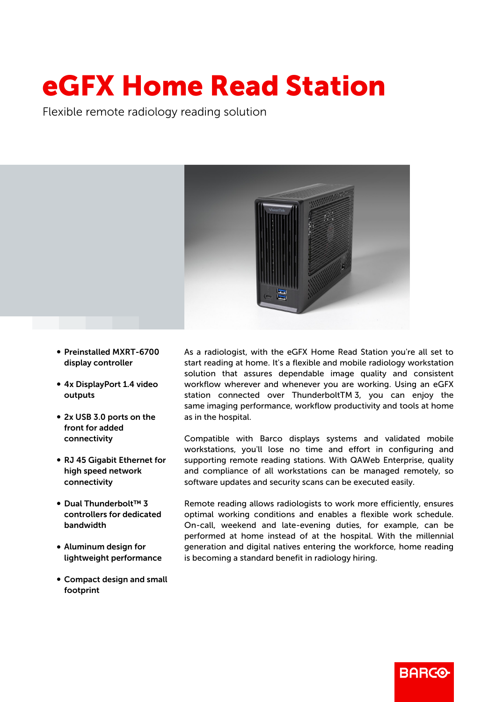## eGFX Home Read Station

Flexible remote radiology reading solution



- Preinstalled MXRT-6700 display controller
- 4x DisplayPort 1.4 video outputs
- 2x USB 3.0 ports on the front for added connectivity
- RJ 45 Gigabit Ethernet for high speed network connectivity
- Dual Thunderbolt™ 3 controllers for dedicated bandwidth
- Aluminum design for lightweight performance
- Compact design and small footprint

As a radiologist, with the eGFX Home Read Station you're all set to start reading at home. It's a flexible and mobile radiology workstation solution that assures dependable image quality and consistent workflow wherever and whenever you are working. Using an eGFX station connected over ThunderboltTM 3, you can enjoy the same imaging performance, workflow productivity and tools at home as in the hospital.

Compatible with Barco displays systems and validated mobile workstations, you'll lose no time and effort in configuring and supporting remote reading stations. With QAWeb Enterprise, quality and compliance of all workstations can be managed remotely, so software updates and security scans can be executed easily.

Remote reading allows radiologists to work more efficiently, ensures optimal working conditions and enables a flexible work schedule. On-call, weekend and late-evening duties, for example, can be performed at home instead of at the hospital. With the millennial generation and digital natives entering the workforce, home reading is becoming a standard benefit in radiology hiring.

**BARGO**